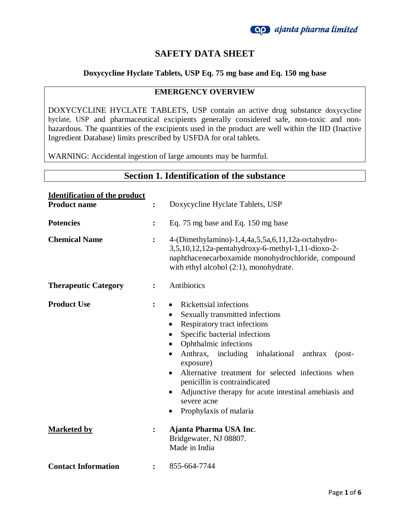

# **SAFETY DATA SHEET**

#### **Doxycycline Hyclate Tablets, USP Eq. 75 mg base and Eq. 150 mg base**

#### **EMERGENCY OVERVIEW**

DOXYCYCLINE HYCLATE TABLETS, USP contain an active drug substance doxycycline hyclate, USP and pharmaceutical excipients generally considered safe, non-toxic and nonhazardous. The quantities of the excipients used in the product are well within the IID (Inactive Ingredient Database) limits prescribed by USFDA for oral tablets.

WARNING: Accidental ingestion of large amounts may be harmful.

| <b>Section 1. Identification of the substance</b> |                |                                                                                                                                                                                                                                                                                                                                                                                                                                                                                             |  |
|---------------------------------------------------|----------------|---------------------------------------------------------------------------------------------------------------------------------------------------------------------------------------------------------------------------------------------------------------------------------------------------------------------------------------------------------------------------------------------------------------------------------------------------------------------------------------------|--|
| <b>Identification of the product</b>              |                |                                                                                                                                                                                                                                                                                                                                                                                                                                                                                             |  |
| <b>Product name</b>                               | :              | Doxycycline Hyclate Tablets, USP                                                                                                                                                                                                                                                                                                                                                                                                                                                            |  |
| <b>Potencies</b>                                  | :              | Eq. 75 mg base and Eq. 150 mg base                                                                                                                                                                                                                                                                                                                                                                                                                                                          |  |
| <b>Chemical Name</b>                              | :              | 4-(Dimethylamino)-1,4,4a,5,5a,6,11,12a-octahydro-<br>3,5,10,12,12a-pentahydroxy-6-methyl-1,11-dioxo-2-<br>naphthacenecarboxamide monohydrochloride, compound<br>with ethyl alcohol $(2:1)$ , monohydrate.                                                                                                                                                                                                                                                                                   |  |
| <b>Therapeutic Category</b>                       | $\ddot{\cdot}$ | Antibiotics                                                                                                                                                                                                                                                                                                                                                                                                                                                                                 |  |
| <b>Product Use</b>                                | :              | <b>Rickettsial infections</b><br>$\bullet$<br>Sexually transmitted infections<br>Respiratory tract infections<br>$\bullet$<br>Specific bacterial infections<br>$\bullet$<br>Ophthalmic infections<br>Anthrax, including inhalational<br>anthrax<br>$-post-$<br>exposure)<br>Alternative treatment for selected infections when<br>$\bullet$<br>penicillin is contraindicated<br>Adjunctive therapy for acute intestinal amebiasis and<br>$\bullet$<br>severe acne<br>Prophylaxis of malaria |  |
| <b>Marketed by</b>                                | :              | Ajanta Pharma USA Inc.<br>Bridgewater, NJ 08807.<br>Made in India                                                                                                                                                                                                                                                                                                                                                                                                                           |  |
| <b>Contact Information</b>                        | $\ddot{\cdot}$ | 855-664-7744                                                                                                                                                                                                                                                                                                                                                                                                                                                                                |  |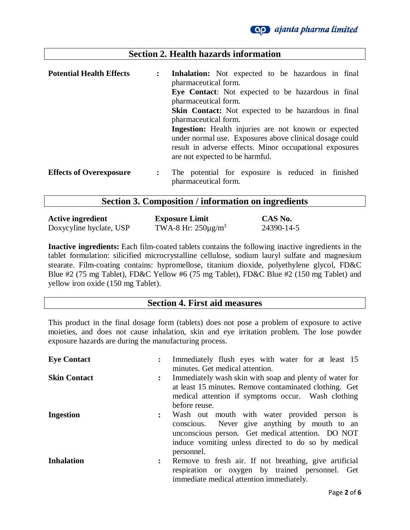### **Section 2. Health hazards information**

| <b>Potential Health Effects</b> | $\ddot{\cdot}$                                                                     | <b>Inhalation:</b> Not expected to be hazardous in final<br>pharmaceutical form.                                                                                                                                     |  |  |  |  |  |  |
|---------------------------------|------------------------------------------------------------------------------------|----------------------------------------------------------------------------------------------------------------------------------------------------------------------------------------------------------------------|--|--|--|--|--|--|
|                                 |                                                                                    | Eye Contact: Not expected to be hazardous in final<br>pharmaceutical form.                                                                                                                                           |  |  |  |  |  |  |
|                                 | <b>Skin Contact:</b> Not expected to be hazardous in final<br>pharmaceutical form. |                                                                                                                                                                                                                      |  |  |  |  |  |  |
|                                 |                                                                                    | <b>Ingestion:</b> Health injuries are not known or expected<br>under normal use. Exposures above clinical dosage could<br>result in adverse effects. Minor occupational exposures<br>are not expected to be harmful. |  |  |  |  |  |  |
| <b>Effects of Overexposure</b>  | $\ddot{\cdot}$                                                                     | The potential for exposure is reduced in finished<br>pharmaceutical form.                                                                                                                                            |  |  |  |  |  |  |

# **Section 3. Composition / information on ingredients**

| <b>Active ingredient</b> | <b>Exposure Limit</b>    | CAS No.    |
|--------------------------|--------------------------|------------|
| Doxycyline hyclate, USP  | TWA-8 Hr: $250\mu g/m^3$ | 24390-14-5 |

**Inactive ingredients:** Each film-coated tablets contains the following inactive ingredients in the tablet formulation: silicified microcrystalline cellulose, sodium lauryl sulfate and magnesium stearate. Film-coating contains: hypromellose, titanium dioxide, polyethylene glycol, FD&C Blue #2 (75 mg Tablet), FD&C Yellow #6 (75 mg Tablet), FD&C Blue #2 (150 mg Tablet) and yellow iron oxide (150 mg Tablet).

#### **Section 4. First aid measures**

This product in the final dosage form (tablets) does not pose a problem of exposure to active moieties, and does not cause inhalation, skin and eye irritation problem. The lose powder exposure hazards are during the manufacturing process.

| <b>Eye Contact</b>  |                | Immediately flush eyes with water for at least 15<br>minutes. Get medical attention.                                                                                                                                    |
|---------------------|----------------|-------------------------------------------------------------------------------------------------------------------------------------------------------------------------------------------------------------------------|
| <b>Skin Contact</b> |                | Immediately wash skin with soap and plenty of water for<br>at least 15 minutes. Remove contaminated clothing. Get<br>medical attention if symptoms occur. Wash clothing<br>before reuse.                                |
| <b>Ingestion</b>    | $\ddot{\cdot}$ | Wash out mouth with water provided person is<br>conscious. Never give anything by mouth to an<br>unconscious person. Get medical attention. DO NOT<br>induce vomiting unless directed to do so by medical<br>personnel. |
| <b>Inhalation</b>   | $\mathbf{L}$   | Remove to fresh air. If not breathing, give artificial<br>respiration or oxygen by trained personnel. Get<br>immediate medical attention immediately.                                                                   |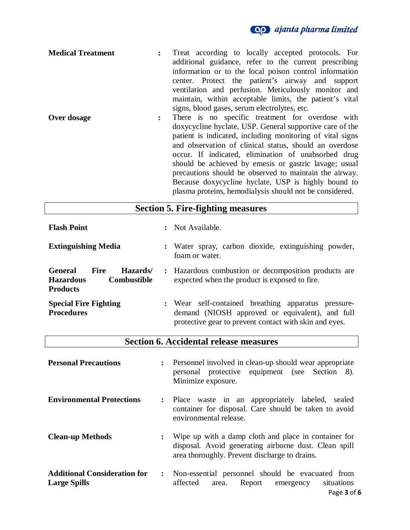

plasma proteins, hemodialysis should not be considered.

| <b>Medical Treatment</b> | Treat according to locally accepted protocols. For               |
|--------------------------|------------------------------------------------------------------|
|                          | additional guidance, refer to the current prescribing            |
|                          | information or to the local poison control information           |
|                          | center. Protect the patient's airway and support                 |
|                          | ventilation and perfusion. Meticulously monitor and              |
|                          | maintain, within acceptable limits, the patient's vital          |
|                          | signs, blood gases, serum electrolytes, etc.                     |
| Over dosage              | There is no specific treatment for overdose with<br>$\mathbf{L}$ |
|                          | doxycycline hyclate, USP. General supportive care of the         |
|                          | patient is indicated, including monitoring of vital signs        |
|                          | and observation of clinical status, should an overdose           |
|                          | occur. If indicated, elimination of unabsorbed drug              |
|                          | should be achieved by emessi or gastric lavage; usual            |
|                          | precautions should be observed to maintain the airway.           |
|                          | Because doxycycline hyclate, USP is highly bound to              |

| <b>Section 5. Fire-fighting measures</b>                                                               |                                                                                                                                                                  |  |
|--------------------------------------------------------------------------------------------------------|------------------------------------------------------------------------------------------------------------------------------------------------------------------|--|
| <b>Flash Point</b>                                                                                     | : Not Available.                                                                                                                                                 |  |
| <b>Extinguishing Media</b>                                                                             | : Water spray, carbon dioxide, extinguishing powder,<br>foam or water.                                                                                           |  |
| <b>Fire</b><br><b>General</b><br>Hazards/<br><b>Combustible</b><br><b>Hazardous</b><br><b>Products</b> | : Hazardous combustion or decomposition products are<br>expected when the product is exposed to fire.                                                            |  |
| <b>Special Fire Fighting</b><br><b>Procedures</b>                                                      | : Wear self-contained breathing apparatus pressure-<br>demand (NIOSH approved or equivalent), and full<br>protective gear to prevent contact with skin and eyes. |  |

| <b>Section 6. Accidental release measures</b> |  |
|-----------------------------------------------|--|
|-----------------------------------------------|--|

| <b>Personal Precautions</b>                                | $\ddot{\cdot}$ | Personnel involved in clean-up should wear appropriate<br>personal protective equipment (see Section 8).<br>Minimize exposure.                                 |
|------------------------------------------------------------|----------------|----------------------------------------------------------------------------------------------------------------------------------------------------------------|
| <b>Environmental Protections</b>                           |                | Place waste in an appropriately labeled, sealed<br>container for disposal. Care should be taken to avoid<br>environmental release.                             |
| <b>Clean-up Methods</b>                                    | $\ddot{\cdot}$ | Wipe up with a damp cloth and place in container for<br>disposal. Avoid generating airborne dust. Clean spill<br>area thoroughly. Prevent discharge to drains. |
| <b>Additional Consideration for</b><br><b>Large Spills</b> | $\ddot{\cdot}$ | Non-essential personnel should be evacuated from<br>affected<br>Report emergency<br>situations<br>area.<br>$D = 2$                                             |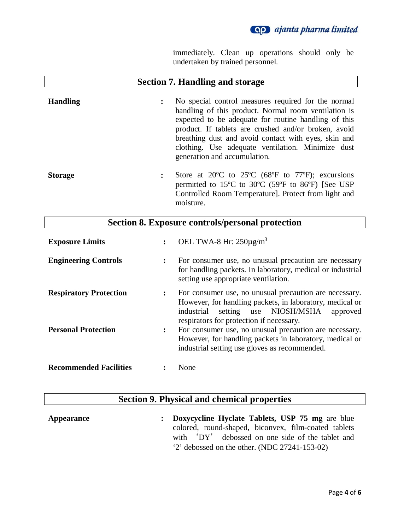

immediately. Clean up operations should only be undertaken by trained personnel.

# **Section 7. Handling and storage Handling :** No special control measures required for the normal handling of this product. Normal room ventilation is expected to be adequate for routine handling of this product. If tablets are crushed and/or broken, avoid breathing dust and avoid contact with eyes, skin and clothing. Use adequate ventilation. Minimize dust generation and accumulation. **Storage :** Store at 20ºC to 25ºC (68ºF to 77ºF); excursions permitted to 15ºC to 30ºC (59ºF to 86ºF) [See USP Controlled Room Temperature]. Protect from light and moisture. **Section 8. Exposure controls/personal protection**

| <b>Exposure Limits</b>        | $\ddot{\cdot}$       | OEL TWA-8 Hr: $250\mu g/m^3$                                                                                                                                                                                       |
|-------------------------------|----------------------|--------------------------------------------------------------------------------------------------------------------------------------------------------------------------------------------------------------------|
| <b>Engineering Controls</b>   | $\ddot{\cdot}$       | For consumer use, no unusual precaution are necessary<br>for handling packets. In laboratory, medical or industrial<br>setting use appropriate ventilation.                                                        |
| <b>Respiratory Protection</b> | $\ddot{\phantom{a}}$ | For consumer use, no unusual precaution are necessary.<br>However, for handling packets, in laboratory, medical or<br>setting use NIOSH/MSHA<br>industrial<br>approved<br>respirators for protection if necessary. |
| <b>Personal Protection</b>    | $\ddot{\phantom{a}}$ | For consumer use, no unusual precaution are necessary.<br>However, for handling packets in laboratory, medical or<br>industrial setting use gloves as recommended.                                                 |
| <b>Recommended Facilities</b> |                      | None                                                                                                                                                                                                               |

### **Section 9. Physical and chemical properties**

**Appearance : Doxycycline Hyclate Tablets, USP 75 mg** are blue colored, round-shaped, biconvex, film-coated tablets with 'DY' debossed on one side of the tablet and '2' debossed on the other. (NDC 27241-153-02)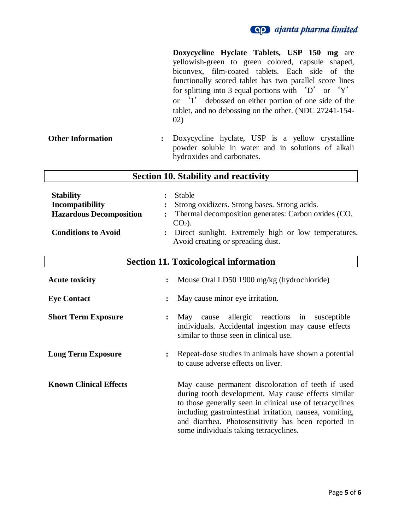

| <b>Other Information</b>                                                                            | Doxycycline Hyclate Tablets, USP 150 mg are<br>yellowish-green to green colored, capsule<br>biconvex, film-coated tablets. Each side of the<br>functionally scored tablet has two parallel score lines<br>for splitting into 3 equal portions with 'D' or 'Y'<br>or '1' debossed on either portion of one side of the<br>tablet, and no debossing on the other. (NDC 27241-154-<br>02)<br>Doxycycline hyclate, USP is a yellow crystalline<br>$\ddot{\cdot}$<br>powder soluble in water and in solutions of alkali<br>hydroxides and carbonates. | shaped, |
|-----------------------------------------------------------------------------------------------------|--------------------------------------------------------------------------------------------------------------------------------------------------------------------------------------------------------------------------------------------------------------------------------------------------------------------------------------------------------------------------------------------------------------------------------------------------------------------------------------------------------------------------------------------------|---------|
|                                                                                                     | <b>Section 10. Stability and reactivity</b>                                                                                                                                                                                                                                                                                                                                                                                                                                                                                                      |         |
| <b>Stability</b><br>Incompatibility<br><b>Hazardous Decomposition</b><br><b>Conditions to Avoid</b> | Stable<br>$\ddot{\cdot}$<br>Strong oxidizers. Strong bases. Strong acids.<br>Thermal decomposition generates: Carbon oxides (CO,<br>$CO2$ ).<br>Direct sunlight. Extremely high or low temperatures.<br>$\ddot{\cdot}$<br>Avoid creating or spreading dust.                                                                                                                                                                                                                                                                                      |         |
|                                                                                                     | <b>Section 11. Toxicological information</b>                                                                                                                                                                                                                                                                                                                                                                                                                                                                                                     |         |
| <b>Acute toxicity</b>                                                                               | Mouse Oral LD50 1900 mg/kg (hydrochloride)<br>$\ddot{\cdot}$                                                                                                                                                                                                                                                                                                                                                                                                                                                                                     |         |
| <b>Eye Contact</b>                                                                                  | May cause minor eye irritation.<br>$\ddot{\cdot}$                                                                                                                                                                                                                                                                                                                                                                                                                                                                                                |         |
| <b>Short Term Exposure</b>                                                                          | allergic reactions<br>May cause<br>in<br>susceptible<br>$\ddot{\cdot}$<br>individuals. Accidental ingestion may cause effects<br>similar to those seen in clinical use.                                                                                                                                                                                                                                                                                                                                                                          |         |
| <b>Long Term Exposure</b>                                                                           | Repeat-dose studies in animals have shown a potential<br>to cause adverse effects on liver.                                                                                                                                                                                                                                                                                                                                                                                                                                                      |         |
| <b>Known Clinical Effects</b>                                                                       | May cause permanent discoloration of teeth if used<br>during tooth development. May cause effects similar<br>to those generally seen in clinical use of tetracyclines<br>including gastrointestinal irritation, nausea, vomiting,<br>and diarrhea. Photosensitivity has been reported in<br>some individuals taking tetracyclines.                                                                                                                                                                                                               |         |